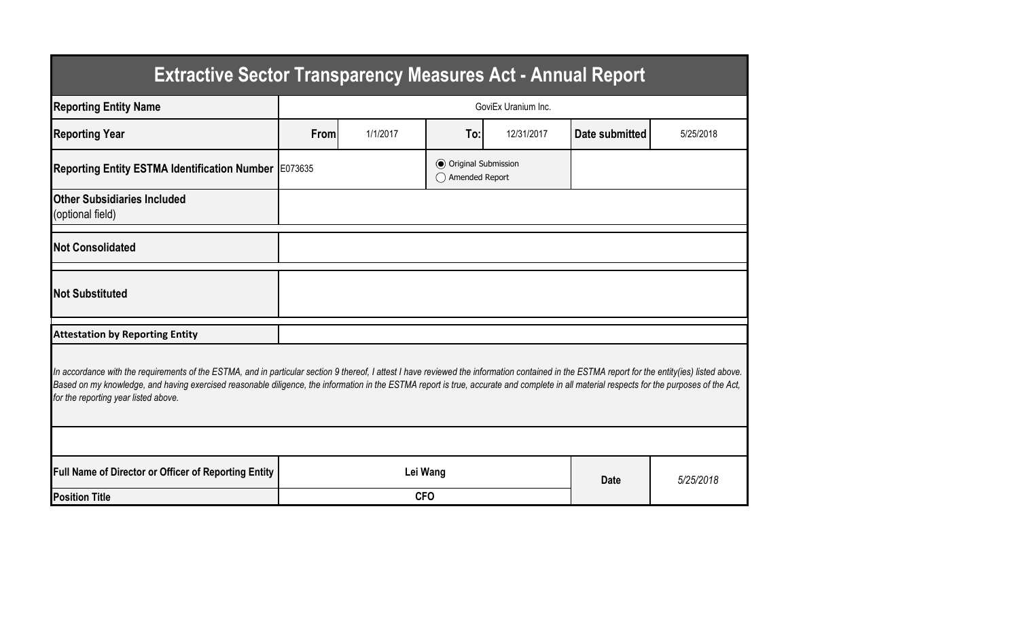| <b>Extractive Sector Transparency Measures Act - Annual Report</b>                                                                                                                                                                                                                                                                                                                                                                    |                     |          |                                                  |             |                |           |  |  |  |  |
|---------------------------------------------------------------------------------------------------------------------------------------------------------------------------------------------------------------------------------------------------------------------------------------------------------------------------------------------------------------------------------------------------------------------------------------|---------------------|----------|--------------------------------------------------|-------------|----------------|-----------|--|--|--|--|
| <b>Reporting Entity Name</b>                                                                                                                                                                                                                                                                                                                                                                                                          | GoviEx Uranium Inc. |          |                                                  |             |                |           |  |  |  |  |
| <b>Reporting Year</b>                                                                                                                                                                                                                                                                                                                                                                                                                 | From                | 1/1/2017 | To:                                              | 12/31/2017  | Date submitted | 5/25/2018 |  |  |  |  |
| Reporting Entity ESTMA Identification Number E073635                                                                                                                                                                                                                                                                                                                                                                                  |                     |          | <b>●</b> Original Submission<br>◯ Amended Report |             |                |           |  |  |  |  |
| <b>Other Subsidiaries Included</b><br>(optional field)                                                                                                                                                                                                                                                                                                                                                                                |                     |          |                                                  |             |                |           |  |  |  |  |
| <b>Not Consolidated</b>                                                                                                                                                                                                                                                                                                                                                                                                               |                     |          |                                                  |             |                |           |  |  |  |  |
| <b>Not Substituted</b>                                                                                                                                                                                                                                                                                                                                                                                                                |                     |          |                                                  |             |                |           |  |  |  |  |
| <b>Attestation by Reporting Entity</b>                                                                                                                                                                                                                                                                                                                                                                                                |                     |          |                                                  |             |                |           |  |  |  |  |
| In accordance with the requirements of the ESTMA, and in particular section 9 thereof, I attest I have reviewed the information contained in the ESTMA report for the entity(ies) listed above.<br>Based on my knowledge, and having exercised reasonable diligence, the information in the ESTMA report is true, accurate and complete in all material respects for the purposes of the Act,<br>for the reporting year listed above. |                     |          |                                                  |             |                |           |  |  |  |  |
|                                                                                                                                                                                                                                                                                                                                                                                                                                       |                     |          |                                                  |             |                |           |  |  |  |  |
| Full Name of Director or Officer of Reporting Entity                                                                                                                                                                                                                                                                                                                                                                                  | Lei Wang            |          |                                                  | <b>Date</b> | 5/25/2018      |           |  |  |  |  |
| <b>Position Title</b>                                                                                                                                                                                                                                                                                                                                                                                                                 | <b>CFO</b>          |          |                                                  |             |                |           |  |  |  |  |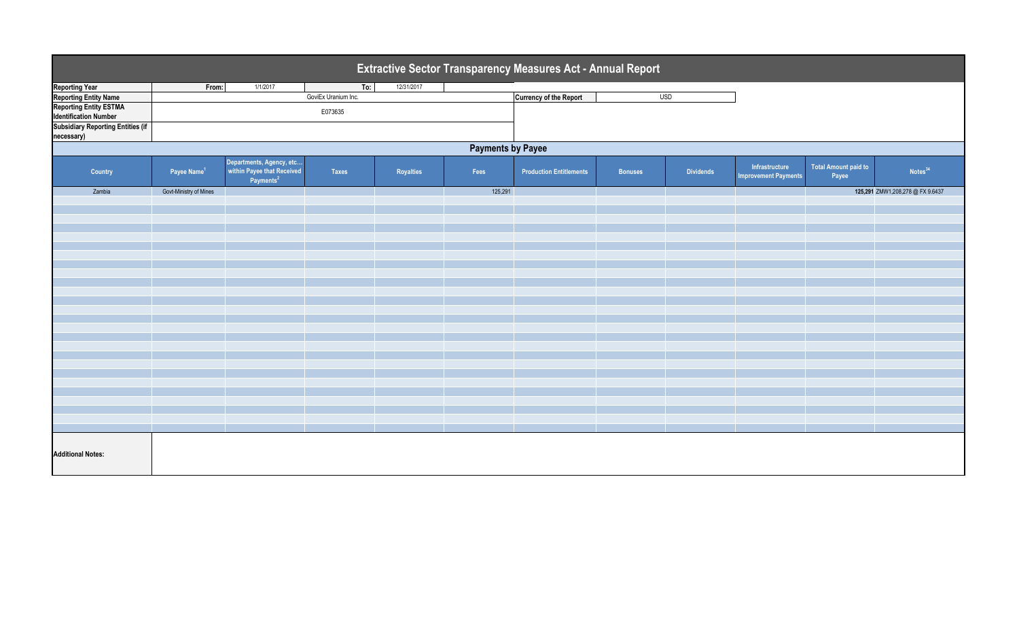| Extractive Sector Transparency Measures Act - Annual Report   |                         |                                                                                 |                     |            |         |                                |                |                  |                                               |                               |                                  |
|---------------------------------------------------------------|-------------------------|---------------------------------------------------------------------------------|---------------------|------------|---------|--------------------------------|----------------|------------------|-----------------------------------------------|-------------------------------|----------------------------------|
| <b>Reporting Year</b>                                         | From:                   | 1/1/2017                                                                        | To:                 | 12/31/2017 |         |                                |                |                  |                                               |                               |                                  |
| <b>Reporting Entity Name</b>                                  |                         |                                                                                 | GoviEx Uranium Inc. |            |         | <b>Currency of the Report</b>  | <b>USD</b>     |                  |                                               |                               |                                  |
| <b>Reporting Entity ESTMA</b><br><b>Identification Number</b> | E073635                 |                                                                                 |                     |            |         |                                |                |                  |                                               |                               |                                  |
| <b>Subsidiary Reporting Entities (if</b><br>necessary)        |                         |                                                                                 |                     |            |         |                                |                |                  |                                               |                               |                                  |
| <b>Payments by Payee</b>                                      |                         |                                                                                 |                     |            |         |                                |                |                  |                                               |                               |                                  |
| Country                                                       | Payee Name <sup>1</sup> | Departments, Agency, etc<br>within Payee that Received<br>Payments <sup>2</sup> | Taxes               | Royalties  | Fees    | <b>Production Entitlements</b> | <b>Bonuses</b> | <b>Dividends</b> | Infrastructure<br><b>Improvement Payments</b> | Total Amount paid to<br>Payee | Notes <sup>34</sup>              |
| Zambia                                                        | Govt-Ministry of Mines  |                                                                                 |                     |            | 125,291 |                                |                |                  |                                               |                               | 125,291 ZMW1,208,278 @ FX 9.6437 |
|                                                               |                         |                                                                                 |                     |            |         |                                |                |                  |                                               |                               |                                  |
|                                                               |                         |                                                                                 |                     |            |         |                                |                |                  |                                               |                               |                                  |
|                                                               |                         |                                                                                 |                     |            |         |                                |                |                  |                                               |                               |                                  |
|                                                               |                         |                                                                                 |                     |            |         |                                |                |                  |                                               |                               |                                  |
|                                                               |                         |                                                                                 |                     |            |         |                                |                |                  |                                               |                               |                                  |
|                                                               |                         |                                                                                 |                     |            |         |                                |                |                  |                                               |                               |                                  |
|                                                               |                         |                                                                                 |                     |            |         |                                |                |                  |                                               |                               |                                  |
|                                                               |                         |                                                                                 |                     |            |         |                                |                |                  |                                               |                               |                                  |
|                                                               |                         |                                                                                 |                     |            |         |                                |                |                  |                                               |                               |                                  |
|                                                               |                         |                                                                                 |                     |            |         |                                |                |                  |                                               |                               |                                  |
|                                                               |                         |                                                                                 |                     |            |         |                                |                |                  |                                               |                               |                                  |
|                                                               |                         |                                                                                 |                     |            |         |                                |                |                  |                                               |                               |                                  |
|                                                               |                         |                                                                                 |                     |            |         |                                |                |                  |                                               |                               |                                  |
|                                                               |                         |                                                                                 |                     |            |         |                                |                |                  |                                               |                               |                                  |
|                                                               |                         |                                                                                 |                     |            |         |                                |                |                  |                                               |                               |                                  |
|                                                               |                         |                                                                                 |                     |            |         |                                |                |                  |                                               |                               |                                  |
|                                                               |                         |                                                                                 |                     |            |         |                                |                |                  |                                               |                               |                                  |
|                                                               |                         |                                                                                 |                     |            |         |                                |                |                  |                                               |                               |                                  |
|                                                               |                         |                                                                                 |                     |            |         |                                |                |                  |                                               |                               |                                  |
|                                                               |                         |                                                                                 |                     |            |         |                                |                |                  |                                               |                               |                                  |
|                                                               |                         |                                                                                 |                     |            |         |                                |                |                  |                                               |                               |                                  |
|                                                               |                         |                                                                                 |                     |            |         |                                |                |                  |                                               |                               |                                  |
| <b>Additional Notes:</b>                                      |                         |                                                                                 |                     |            |         |                                |                |                  |                                               |                               |                                  |